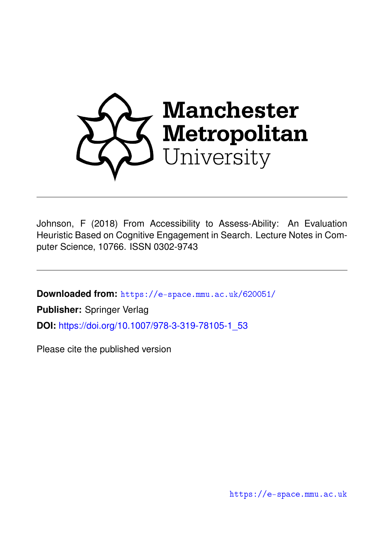

Johnson, F (2018) From Accessibility to Assess-Ability: An Evaluation Heuristic Based on Cognitive Engagement in Search. Lecture Notes in Computer Science, 10766. ISSN 0302-9743

**Downloaded from:** <https://e-space.mmu.ac.uk/620051/>

**Publisher:** Springer Verlag

**DOI:** [https://doi.org/10.1007/978-3-319-78105-1\\_53](https://doi.org/10.1007/978-3-319-78105-1_53)

Please cite the published version

<https://e-space.mmu.ac.uk>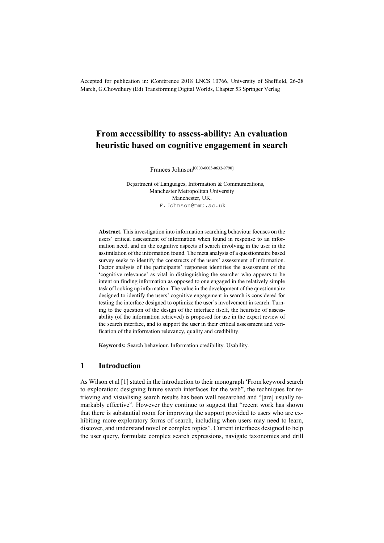Accepted for publication in: iConference 2018 LNCS 10766, University of Sheffield, 26-28 March, G.Chowdhury (Ed) Transforming Digital Worlds, Chapter 53 Springer Verlag

# **From accessibility to assess-ability: An evaluation heuristic based on cognitive engagement in search**

Frances Johnson[0000-0003-0632-9790]

Department of Languages, Information & Communications, Manchester Metropolitan University Manchester, UK. [F.Johnson@mmu.ac.uk](mailto:F.Johnson@mmu.ac.uk)

**Abstract.** This investigation into information searching behaviour focuses on the users' critical assessment of information when found in response to an information need, and on the cognitive aspects of search involving in the user in the assimilation of the information found. The meta analysis of a questionnaire based survey seeks to identify the constructs of the users' assessment of information. Factor analysis of the participants' responses identifies the assessment of the 'cognitive relevance' as vital in distinguishing the searcher who appears to be intent on finding information as opposed to one engaged in the relatively simple task of looking up information. The value in the development of the questionnaire designed to identify the users' cognitive engagement in search is considered for testing the interface designed to optimize the user's involvement in search. Turning to the question of the design of the interface itself, the heuristic of assessability (of the information retrieved) is proposed for use in the expert review of the search interface, and to support the user in their critical assessment and verification of the information relevancy, quality and credibility.

**Keywords:** Search behaviour. Information credibility. Usability.

## **1 Introduction**

As Wilson et al [1] stated in the introduction to their monograph 'From keyword search to exploration: designing future search interfaces for the web", the techniques for retrieving and visualising search results has been well researched and "[are] usually remarkably effective". However they continue to suggest that "recent work has shown that there is substantial room for improving the support provided to users who are exhibiting more exploratory forms of search, including when users may need to learn, discover, and understand novel or complex topics". Current interfaces designed to help the user query, formulate complex search expressions, navigate taxonomies and drill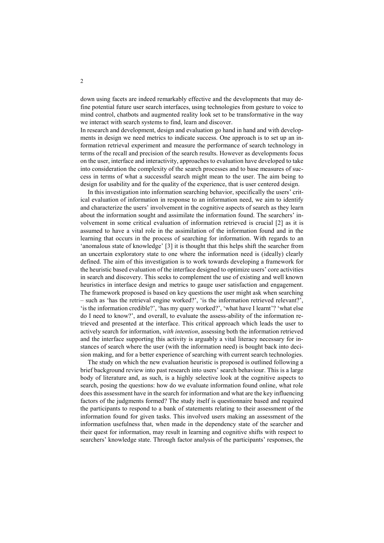down using facets are indeed remarkably effective and the developments that may define potential future user search interfaces, using technologies from gesture to voice to mind control, chatbots and augmented reality look set to be transformative in the way we interact with search systems to find, learn and discover.

In research and development, design and evaluation go hand in hand and with developments in design we need metrics to indicate success. One approach is to set up an information retrieval experiment and measure the performance of search technology in terms of the recall and precision of the search results. However as developments focus on the user, interface and interactivity, approaches to evaluation have developed to take into consideration the complexity of the search processes and to base measures of success in terms of what a successful search might mean to the user. The aim being to design for usability and for the quality of the experience, that is user centered design.

In this investigation into information searching behavior, specifically the users' critical evaluation of information in response to an information need, we aim to identify and characterize the users' involvement in the cognitive aspects of search as they learn about the information sought and assimilate the information found. The searchers' involvement in some critical evaluation of information retrieved is crucial [2] as it is assumed to have a vital role in the assimilation of the information found and in the learning that occurs in the process of searching for information. With regards to an 'anomalous state of knowledge' [3] it is thought that this helps shift the searcher from an uncertain exploratory state to one where the information need is (ideally) clearly defined. The aim of this investigation is to work towards developing a framework for the heuristic based evaluation of the interface designed to optimize users' core activities in search and discovery. This seeks to complement the use of existing and well known heuristics in interface design and metrics to gauge user satisfaction and engagement. The framework proposed is based on key questions the user might ask when searching – such as 'has the retrieval engine worked?', 'is the information retrieved relevant?', 'is the information credible?', 'has my query worked?', 'what have I learnt'? 'what else do I need to know?', and overall, to evaluate the assess-ability of the information retrieved and presented at the interface. This critical approach which leads the user to actively search for information, *with intention*, assessing both the information retrieved and the interface supporting this activity is arguably a vital literacy necessary for instances of search where the user (with the information need) is bought back into decision making, and for a better experience of searching with current search technologies.

The study on which the new evaluation heuristic is proposed is outlined following a brief background review into past research into users' search behaviour. This is a large body of literature and, as such, is a highly selective look at the cognitive aspects to search, posing the questions: how do we evaluate information found online, what role does this assessment have in the search for information and what are the key influencing factors of the judgments formed? The study itself is questionnaire based and required the participants to respond to a bank of statements relating to their assessment of the information found for given tasks. This involved users making an assessment of the information usefulness that, when made in the dependency state of the searcher and their quest for information, may result in learning and cognitive shifts with respect to searchers' knowledge state. Through factor analysis of the participants' responses, the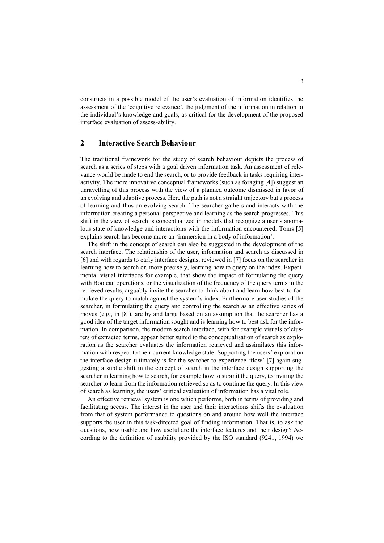constructs in a possible model of the user's evaluation of information identifies the assessment of the 'cognitive relevance', the judgment of the information in relation to the individual's knowledge and goals, as critical for the development of the proposed interface evaluation of assess-ability.

## **2 Interactive Search Behaviour**

The traditional framework for the study of search behaviour depicts the process of search as a series of steps with a goal driven information task. An assessment of relevance would be made to end the search, or to provide feedback in tasks requiring interactivity. The more innovative conceptual frameworks (such as foraging [4]) suggest an unravelling of this process with the view of a planned outcome dismissed in favor of an evolving and adaptive process. Here the path is not a straight trajectory but a process of learning and thus an evolving search. The searcher gathers and interacts with the information creating a personal perspective and learning as the search progresses. This shift in the view of search is conceptualized in models that recognize a user's anomalous state of knowledge and interactions with the information encountered. Toms [5] explains search has become more an 'immersion in a body of information'.

The shift in the concept of search can also be suggested in the development of the search interface. The relationship of the user, information and search as discussed in [6] and with regards to early interface designs, reviewed in [7] focus on the searcher in learning how to search or, more precisely, learning how to query on the index. Experimental visual interfaces for example, that show the impact of formulating the query with Boolean operations, or the visualization of the frequency of the query terms in the retrieved results, arguably invite the searcher to think about and learn how best to formulate the query to match against the system's index. Furthermore user studies of the searcher, in formulating the query and controlling the search as an effective series of moves (e.g., in [8]), are by and large based on an assumption that the searcher has a good idea of the target information sought and is learning how to best ask for the information. In comparison, the modern search interface, with for example visuals of clusters of extracted terms, appear better suited to the conceptualisation of search as exploration as the searcher evaluates the information retrieved and assimilates this information with respect to their current knowledge state. Supporting the users' exploration the interface design ultimately is for the searcher to experience 'flow' [7] again suggesting a subtle shift in the concept of search in the interface design supporting the searcher in learning how to search, for example how to submit the query, to inviting the searcher to learn from the information retrieved so as to continue the query. In this view of search as learning, the users' critical evaluation of information has a vital role.

An effective retrieval system is one which performs, both in terms of providing and facilitating access. The interest in the user and their interactions shifts the evaluation from that of system performance to questions on and around how well the interface supports the user in this task-directed goal of finding information. That is, to ask the questions, how usable and how useful are the interface features and their design? According to the definition of usability provided by the ISO standard (9241, 1994) we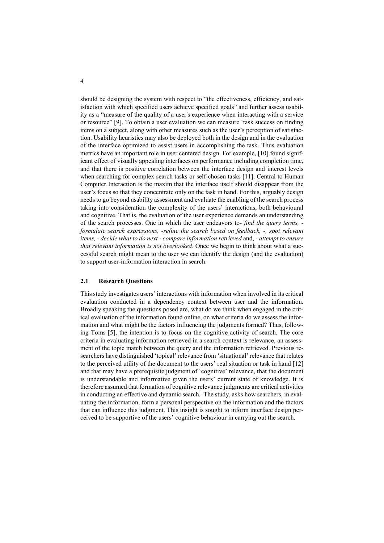should be designing the system with respect to "the effectiveness, efficiency, and satisfaction with which specified users achieve specified goals" and further assess usability as a "measure of the quality of a user's experience when interacting with a service or resource" [9]. To obtain a user evaluation we can measure 'task success on finding items on a subject, along with other measures such as the user's perception of satisfaction. Usability heuristics may also be deployed both in the design and in the evaluation of the interface optimized to assist users in accomplishing the task. Thus evaluation metrics have an important role in user centered design. For example, [10] found significant effect of visually appealing interfaces on performance including completion time, and that there is positive correlation between the interface design and interest levels when searching for complex search tasks or self-chosen tasks [11]. Central to Human Computer Interaction is the maxim that the interface itself should disappear from the user's focus so that they concentrate only on the task in hand. For this, arguably design needs to go beyond usability assessment and evaluate the enabling of the search process taking into consideration the complexity of the users' interactions, both behavioural and cognitive. That is, the evaluation of the user experience demands an understanding of the search processes. One in which the user endeavors to- *find the query terms, formulate search expressions, -refine the search based on feedback, -, spot relevant items, - decide what to do next - compare information retrieved* and, *- attempt to ensure that relevant information is not overlooked*. Once we begin to think about what a successful search might mean to the user we can identify the design (and the evaluation) to support user-information interaction in search.

## **2.1 Research Questions**

This study investigates users' interactions with information when involved in its critical evaluation conducted in a dependency context between user and the information. Broadly speaking the questions posed are, what do we think when engaged in the critical evaluation of the information found online, on what criteria do we assess the information and what might be the factors influencing the judgments formed? Thus, following Toms [5], the intention is to focus on the cognitive activity of search. The core criteria in evaluating information retrieved in a search context is relevance, an assessment of the topic match between the query and the information retrieved. Previous researchers have distinguished 'topical' relevance from 'situational' relevance that relates to the perceived utility of the document to the users' real situation or task in hand [12] and that may have a prerequisite judgment of 'cognitive' relevance, that the document is understandable and informative given the users' current state of knowledge. It is therefore assumed that formation of cognitive relevance judgments are critical activities in conducting an effective and dynamic search. The study, asks how searchers, in evaluating the information, form a personal perspective on the information and the factors that can influence this judgment. This insight is sought to inform interface design perceived to be supportive of the users' cognitive behaviour in carrying out the search.

4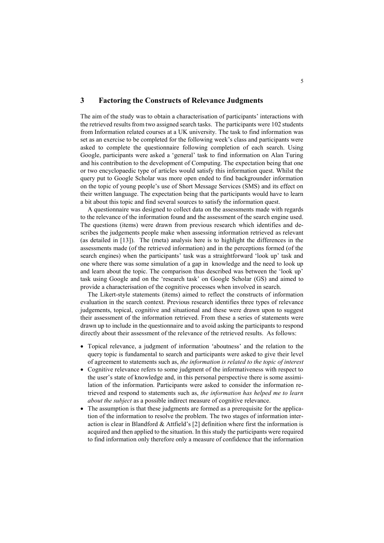## **3 Factoring the Constructs of Relevance Judgments**

The aim of the study was to obtain a characterisation of participants' interactions with the retrieved results from two assigned search tasks. The participants were 102 students from Information related courses at a UK university. The task to find information was set as an exercise to be completed for the following week's class and participants were asked to complete the questionnaire following completion of each search. Using Google, participants were asked a 'general' task to find information on Alan Turing and his contribution to the development of Computing. The expectation being that one or two encyclopaedic type of articles would satisfy this information quest. Whilst the query put to Google Scholar was more open ended to find backgrounder information on the topic of young people's use of Short Message Services (SMS) and its effect on their written language. The expectation being that the participants would have to learn a bit about this topic and find several sources to satisfy the information quest.

A questionnaire was designed to collect data on the assessments made with regards to the relevance of the information found and the assessment of the search engine used. The questions (items) were drawn from previous research which identifies and describes the judgements people make when assessing information retrieved as relevant (as detailed in [13]). The (meta) analysis here is to highlight the differences in the assessments made (of the retrieved information) and in the perceptions formed (of the search engines) when the participants' task was a straightforward 'look up' task and one where there was some simulation of a gap in knowledge and the need to look up and learn about the topic. The comparison thus described was between the 'look up' task using Google and on the 'research task' on Google Scholar (GS) and aimed to provide a characterisation of the cognitive processes when involved in search.

The Likert-style statements (items) aimed to reflect the constructs of information evaluation in the search context. Previous research identifies three types of relevance judgements, topical, cognitive and situational and these were drawn upon to suggest their assessment of the information retrieved. From these a series of statements were drawn up to include in the questionnaire and to avoid asking the participants to respond directly about their assessment of the relevance of the retrieved results. As follows:

- Topical relevance, a judgment of information 'aboutness' and the relation to the query topic is fundamental to search and participants were asked to give their level of agreement to statements such as, *the information is related to the topic of interest*
- Cognitive relevance refers to some judgment of the informativeness with respect to the user's state of knowledge and, in this personal perspective there is some assimilation of the information. Participants were asked to consider the information retrieved and respond to statements such as, *the information has helped me to learn about the subject* as a possible indirect measure of cognitive relevance.
- The assumption is that these judgments are formed as a prerequisite for the application of the information to resolve the problem. The two stages of information interaction is clear in Blandford & Attfield's [2] definition where first the information is acquired and then applied to the situation. In this study the participants were required to find information only therefore only a measure of confidence that the information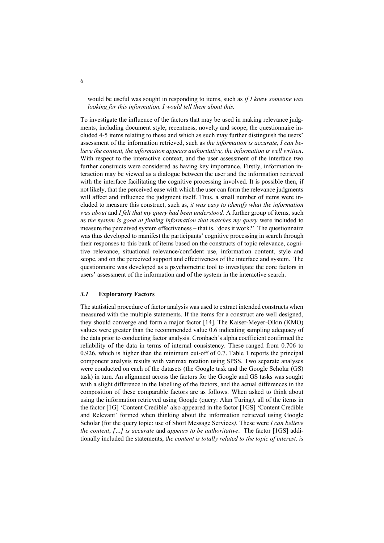would be useful was sought in responding to items, such as *if I knew someone was looking for this information, I would tell them about this.*

To investigate the influence of the factors that may be used in making relevance judgments, including document style, recentness, novelty and scope, the questionnaire included 4-5 items relating to these and which as such may further distinguish the users' assessment of the information retrieved, such as *the information is accurate, I can believe the content, the information appears authoritative, the information is well written*. With respect to the interactive context, and the user assessment of the interface two further constructs were considered as having key importance. Firstly, information interaction may be viewed as a dialogue between the user and the information retrieved with the interface facilitating the cognitive processing involved. It is possible then, if not likely, that the perceived ease with which the user can form the relevance judgments will affect and influence the judgment itself. Thus, a small number of items were included to measure this construct, such as, *it was easy to identify what the information was about* and *I felt that my query had been understood*. A further group of items, such as *the* s*ystem is good at finding information that matches my query* were included to measure the perceived system effectiveness – that is, 'does it work?' The questionnaire was thus developed to manifest the participants' cognitive processing in search through their responses to this bank of items based on the constructs of topic relevance, cognitive relevance, situational relevance/confident use, information content, style and scope, and on the perceived support and effectiveness of the interface and system. The questionnaire was developed as a psychometric tool to investigate the core factors in users' assessment of the information and of the system in the interactive search.

#### *3.1* **Exploratory Factors**

The statistical procedure of factor analysis was used to extract intended constructs when measured with the multiple statements. If the items for a construct are well designed, they should converge and form a major factor [14]. The Kaiser-Meyer-Olkin (KMO) values were greater than the recommended value 0.6 indicating sampling adequacy of the data prior to conducting factor analysis. Cronbach's alpha coefficient confirmed the reliability of the data in terms of internal consistency. These ranged from 0.706 to 0.926, which is higher than the minimum cut-off of 0.7. Table 1 reports the principal component analysis results with varimax rotation using SPSS. Two separate analyses were conducted on each of the datasets (the Google task and the Google Scholar (GS) task) in turn. An alignment across the factors for the Google and GS tasks was sought with a slight difference in the labelling of the factors, and the actual differences in the composition of these comparable factors are as follows. When asked to think about using the information retrieved using Google (query: Alan Turing*),* all of the items in the factor [1G] 'Content Credible' also appeared in the factor [1GS] 'Content Credible and Relevant' formed when thinking about the information retrieved using Google Scholar (for the query topic: use of Short Message Services*).* These were *I can believe the content*, *[…] is accurate* and *appears to be authoritative*. The factor [1GS] additionally included the statements, t*he content is totally related to the topic of interest, is* 

6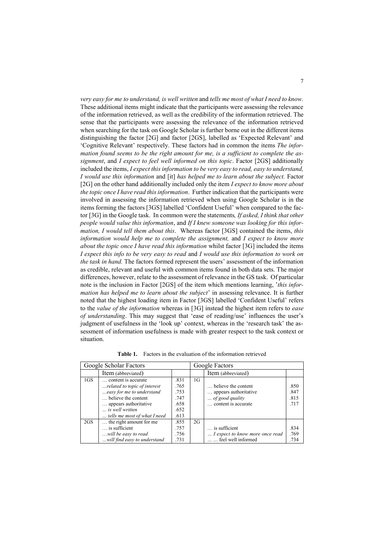*very easy for me to understand, is well written* and *tells me most of what I need to know.*  These additional items might indicate that the participants were assessing the relevance of the information retrieved, as well as the credibility of the information retrieved. The sense that the participants were assessing the relevance of the information retrieved when searching for the task on Google Scholar is further borne out in the different items distinguishing the factor [2G] and factor [2GS], labelled as 'Expected Relevant' and 'Cognitive Relevant' respectively. These factors had in common the items *The information found seems to be the right amount for me, is a sufficient to complete the assignment*, and *I expect to feel well informed on this topic*. Factor [2GS] additionally included the items, *I expect this information to be very easy to read, easy to understand, I would use this information* and [it] *has helped me to learn about the subject.* Factor [2G] on the other hand additionally included only the item *I expect to know more about the topic once I have read this information*. Further indication that the participants were involved in assessing the information retrieved when using Google Scholar is in the items forming the factors [3GS] labelled 'Confident Useful' when compared to the factor [3G] in the Google task. In common were the statements*, If asked, I think that other people would value this information*, and *If I knew someone was looking for this information, I would tell them about this*. Whereas factor [3GS] contained the items, *this information would help me to complete the assignment,* and *I expect to know more about the topic once I have read this information* whilst factor [3G] included the items *I expect this info to be very easy to read* and *I would use this information to work on the task in hand.* The factors formed represent the users' assessment of the information as credible, relevant and useful with common items found in both data sets. The major differences, however, relate to the assessment of relevance in the GS task. Of particular note is the inclusion in Factor [2GS] of the item which mentions learning, '*this information has helped me to learn about the subject*' in assessing relevance. It is further noted that the highest loading item in Factor [3GS] labelled 'Confident Useful' refers to the *value of the information* whereas in [3G] instead the highest item refers to *ease of understanding*. This may suggest that 'ease of reading/use' influences the user's judgment of usefulness in the 'look up' context, whereas in the 'research task' the assessment of information usefulness is made with greater respect to the task context or situation.

Google Scholar Factors Google Factors Item (abbreviated) Item (abbreviated) 1GS … content is accurate *…related to topic of interest …easy for me to understand* … believe the content … appears authoritative *… is well written … tells me most of what I need*  .831 .765 .753 .747 .658 .652 .613 1G … believe the content … appears authoritative *… of good quality*  … content is accurate .850 .847 .815 .717 2GS ... the right amount for me … is sufficient …*will be easy to read …will find easy to understand*  .855 .757 .756 .731 2G … is sufficient *… I expect to know more once read*  feel well informed .834 .769 .734

**Table 1.** Factors in the evaluation of the information retrieved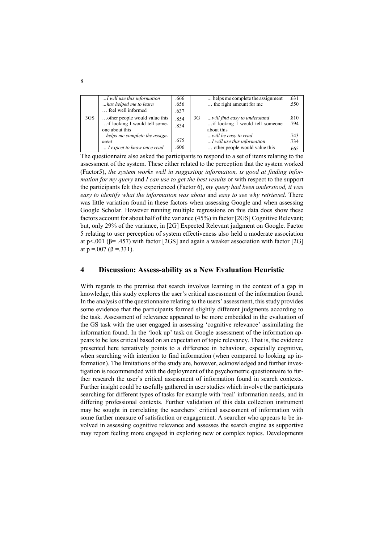|     | I will use this information<br>has helped me to learn<br>feel well informed      | .666<br>.656<br>.637 |    | helps me complete the assignment<br>the right amount for me.                         | .631<br>.550         |
|-----|----------------------------------------------------------------------------------|----------------------|----|--------------------------------------------------------------------------------------|----------------------|
| 3GS | other people would value this<br>if looking I would tell some-<br>one about this | .854<br>.834         | 3G | will find easy to understand<br>if looking I would tell someone<br>about this        | .810<br>.794         |
|     | helps me complete the assign-<br>ment<br>I expect to know once read              | .675<br>.606         |    | will be easy to read<br>I will use this information<br>other people would value this | .743<br>.734<br>.665 |

The questionnaire also asked the participants to respond to a set of items relating to the assessment of the system. These either related to the perception that the system worked (Factor5), *the system works well in suggesting information, is good at finding information for my query* and *I can use to get the best results* or with respect to the support the participants felt they experienced (Factor 6), *my query had been understood, it was easy to identify what the information was about* and *easy to see why retrieved*. There was little variation found in these factors when assessing Google and when assessing Google Scholar. However running multiple regressions on this data does show these factors account for about half of the variance (45%) in factor [2GS] Cognitive Relevant; but, only 29% of the variance, in [2G] Expected Relevant judgment on Google. Factor 5 relating to user perception of system effectiveness also held a moderate association at p<.001 ( $\beta$ = .457) with factor [2GS] and again a weaker association with factor [2G] at p =.007 (β =.331).

## **4 Discussion: Assess-ability as a New Evaluation Heuristic**

With regards to the premise that search involves learning in the context of a gap in knowledge, this study explores the user's critical assessment of the information found. In the analysis of the questionnaire relating to the users' assessment, this study provides some evidence that the participants formed slightly different judgments according to the task. Assessment of relevance appeared to be more embedded in the evaluation of the GS task with the user engaged in assessing 'cognitive relevance' assimilating the information found. In the 'look up' task on Google assessment of the information appears to be less critical based on an expectation of topic relevancy. That is, the evidence presented here tentatively points to a difference in behaviour, especially cognitive, when searching with intention to find information (when compared to looking up information). The limitations of the study are, however, acknowledged and further investigation is recommended with the deployment of the psychometric questionnaire to further research the user's critical assessment of information found in search contexts. Further insight could be usefully gathered in user studies which involve the participants searching for different types of tasks for example with 'real' information needs, and in differing professional contexts. Further validation of this data collection instrument may be sought in correlating the searchers' critical assessment of information with some further measure of satisfaction or engagement. A searcher who appears to be involved in assessing cognitive relevance and assesses the search engine as supportive may report feeling more engaged in exploring new or complex topics. Developments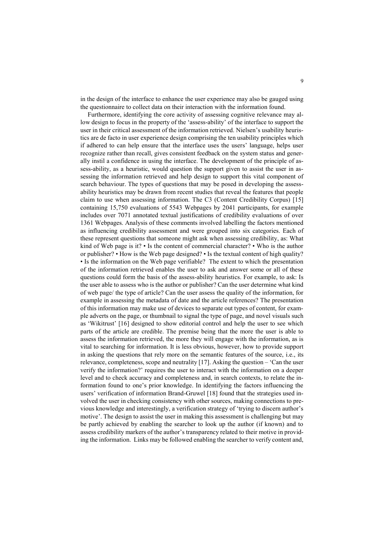in the design of the interface to enhance the user experience may also be gauged using the questionnaire to collect data on their interaction with the information found.

Furthermore, identifying the core activity of assessing cognitive relevance may allow design to focus in the property of the 'assess-ability' of the interface to support the user in their critical assessment of the information retrieved. Nielsen's usability heuristics are de facto in user experience design comprising the ten usability principles which if adhered to can help ensure that the interface uses the users' language, helps user recognize rather than recall, gives consistent feedback on the system status and generally instil a confidence in using the interface. The development of the principle of assess-ability, as a heuristic, would question the support given to assist the user in assessing the information retrieved and help design to support this vital component of search behaviour. The types of questions that may be posed in developing the assessability heuristics may be drawn from recent studies that reveal the features that people claim to use when assessing information. The C3 (Content Credibility Corpus) [15] containing 15,750 evaluations of 5543 Webpages by 2041 participants, for example includes over 7071 annotated textual justifications of credibility evaluations of over 1361 Webpages. Analysis of these comments involved labelling the factors mentioned as influencing credibility assessment and were grouped into six categories. Each of these represent questions that someone might ask when assessing credibility, as: What kind of Web page is it? • Is the content of commercial character? • Who is the author or publisher? • How is the Web page designed? • Is the textual content of high quality? • Is the information on the Web page verifiable? The extent to which the presentation of the information retrieved enables the user to ask and answer some or all of these questions could form the basis of the assess-ability heuristics. For example, to ask: Is the user able to assess who is the author or publisher? Can the user determine what kind of web page/ the type of article? Can the user assess the quality of the information, for example in assessing the metadata of date and the article references? The presentation of this information may make use of devices to separate out types of content, for example adverts on the page, or thumbnail to signal the type of page, and novel visuals such as 'Wikitrust' [16] designed to show editorial control and help the user to see which parts of the article are credible. The premise being that the more the user is able to assess the information retrieved, the more they will engage with the information, as is vital to searching for information. It is less obvious, however, how to provide support in asking the questions that rely more on the semantic features of the source, i.e., its relevance, completeness, scope and neutrality [17]. Asking the question – 'Can the user verify the information?' requires the user to interact with the information on a deeper level and to check accuracy and completeness and, in search contexts, to relate the information found to one's prior knowledge. In identifying the factors influencing the users' verification of information Brand-Gruwel [18] found that the strategies used involved the user in checking consistency with other sources, making connections to previous knowledge and interestingly, a verification strategy of 'trying to discern author's motive'. The design to assist the user in making this assessment is challenging but may be partly achieved by enabling the searcher to look up the author (if known) and to assess credibility markers of the author's transparency related to their motive in providing the information. Links may be followed enabling the searcher to verify content and,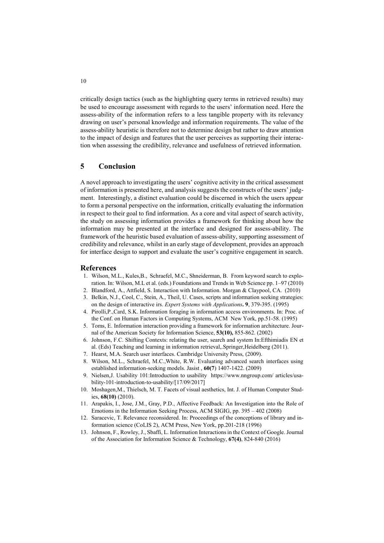critically design tactics (such as the highlighting query terms in retrieved results) may be used to encourage assessment with regards to the users' information need. Here the assess-ability of the information refers to a less tangible property with its relevancy drawing on user's personal knowledge and information requirements. The value of the assess-ability heuristic is therefore not to determine design but rather to draw attention to the impact of design and features that the user perceives as supporting their interaction when assessing the credibility, relevance and usefulness of retrieved information.

## **5 Conclusion**

A novel approach to investigating the users' cognitive activity in the critical assessment of information is presented here, and analysis suggests the constructs of the users' judgment. Interestingly, a distinct evaluation could be discerned in which the users appear to form a personal perspective on the information, critically evaluating the information in respect to their goal to find information. As a core and vital aspect of search activity, the study on assessing information provides a framework for thinking about how the information may be presented at the interface and designed for assess-ability. The framework of the heuristic based evaluation of assess-ability, supporting assessment of credibility and relevance, whilst in an early stage of development, provides an approach for interface design to support and evaluate the user's cognitive engagement in search.

#### **References**

- 1. Wilson, M.L., Kules,B., Schraefel, M.C., Shneiderman, B. From keyword search to exploration. In: Wilson, M.L et al. (eds.) Foundations and Trends in Web Science pp. 1–97 (2010)
- 2. Blandford, A., Attfield, S. Interaction with Information. Morgan & Claypool, CA. (2010) 3. Belkin, N.J., Cool, C., Stein, A., Theil, U. Cases, scripts and information seeking strategies:
- on the design of interactive irs. *Expert Systems with Applications***. 9**, 379-395. (1995) 4. Pirolli,P.,Card, S.K. Information foraging in information access environments. In: Proc. of the Conf. on Human Factors in Computing Systems, ACM New York, pp.51-58. (1995)
- 5. Toms, E. Information interaction providing a framework for information architecture. Journal of the American Society for Information Science, **53(10),** 855-862. (2002)
- 6. Johnson, F.C. Shifting Contexts: relating the user, search and system In:Efthimiadis EN et al. (Eds) Teaching and learning in information retrieval,.Springer,Heidelberg (2011).
- 7. Hearst, M.A. Search user interfaces. Cambridge University Press, (2009).
- 8. Wilson, M.L., Schraefel, M.C.,White, R.W. Evaluating advanced search interfaces using established information-seeking models. Jasist , **60(7**) 1407-1422. (2009)
- 9. Nielsen,J. Usability 101:Introduction to usability [https://www.nngroup.com/ articles/usa](https://www.nngroup.com/%20articles/usability-101-introduction-to-usability/)[bility-101-introduction-to-usability/\[](https://www.nngroup.com/%20articles/usability-101-introduction-to-usability/)17/09/2017]
- 10. Moshagen,M., Thielsch, M. T. Facets of visual aesthetics, Int. J. of Human Computer Studies, **68(10)** (2010).
- 11. Arapakis, I., Jose, J.M., Gray, P.D., Affective Feedback: An Investigation into the Role of Emotions in the Information Seeking Process, ACM SIGIG, pp. 395 – 402 (2008)
- 12. Saracevic, T. Relevance reconsidered. In: Proceedings of the conceptions of library and information science (CoLIS 2), ACM Press, New York, pp.201-218 (1996)
- 13. Johnson, F., Rowley, J., Sbaffi, L. Information Interactions in the Context of Google. Journal of the Association for Information Science & Technology, **67(4)**, 824-840 (2016)